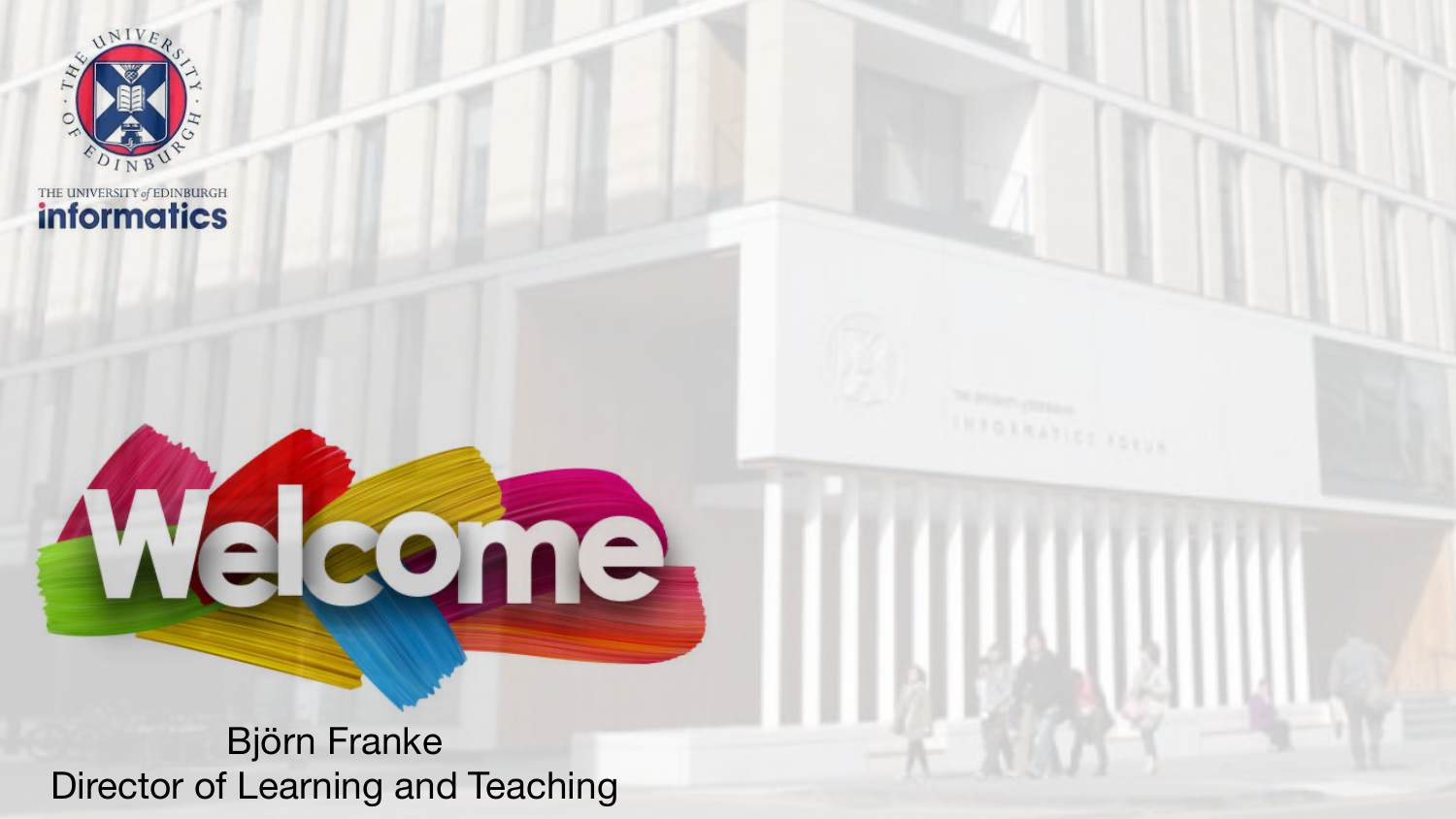

THE UNIVERSITY of EDINBURGH

### Björn Franke Director of Learning and Teaching

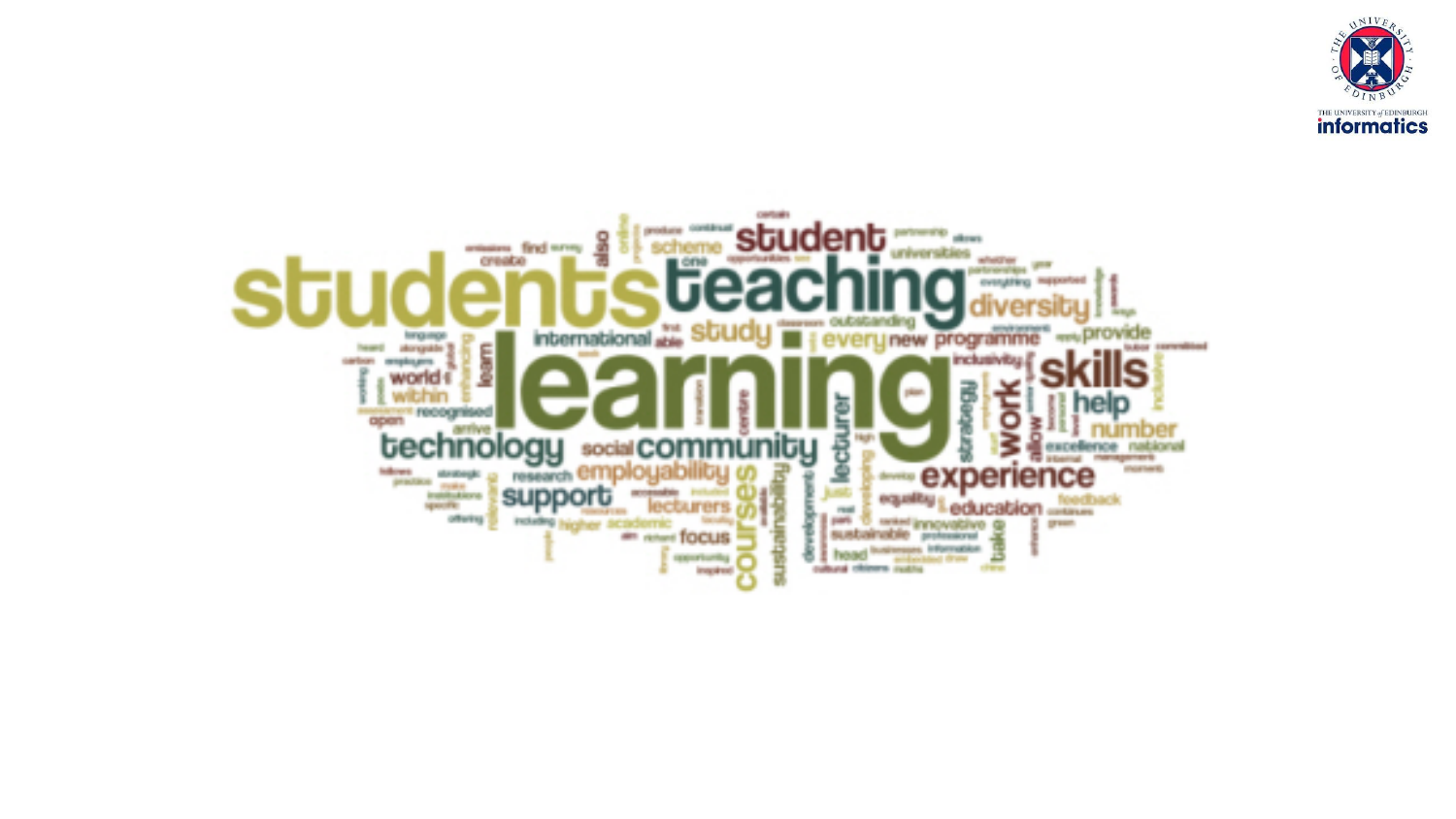

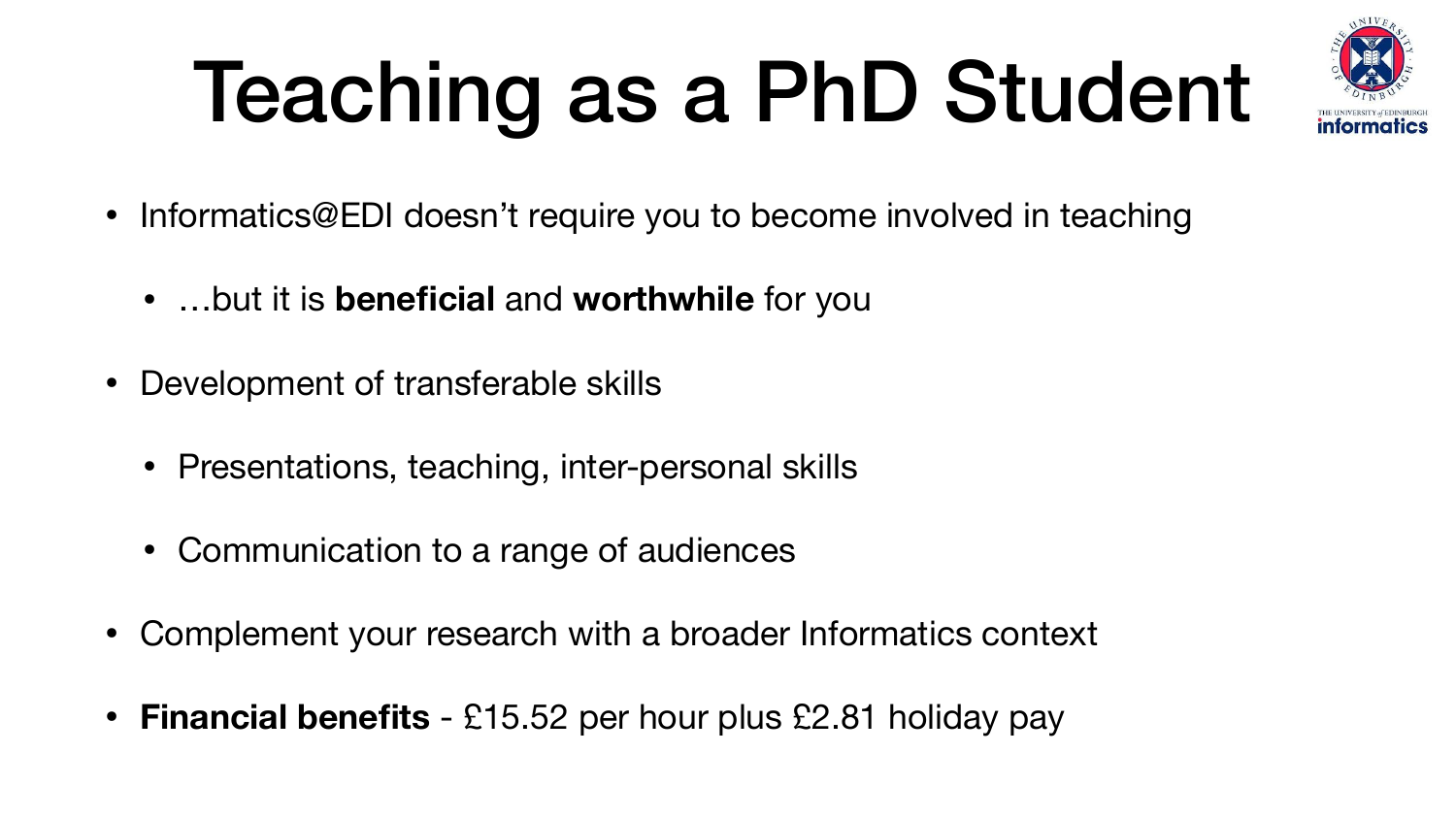### Teaching as a PhD Student



- Informatics@EDI doesn't require you to become involved in teaching
	- …but it is **beneficial** and **worthwhile** for you
- Development of transferable skills
	- Presentations, teaching, inter-personal skills
	- Communication to a range of audiences
- Complement your research with a broader Informatics context
- **Financial benefits** £15.52 per hour plus £2.81 holiday pay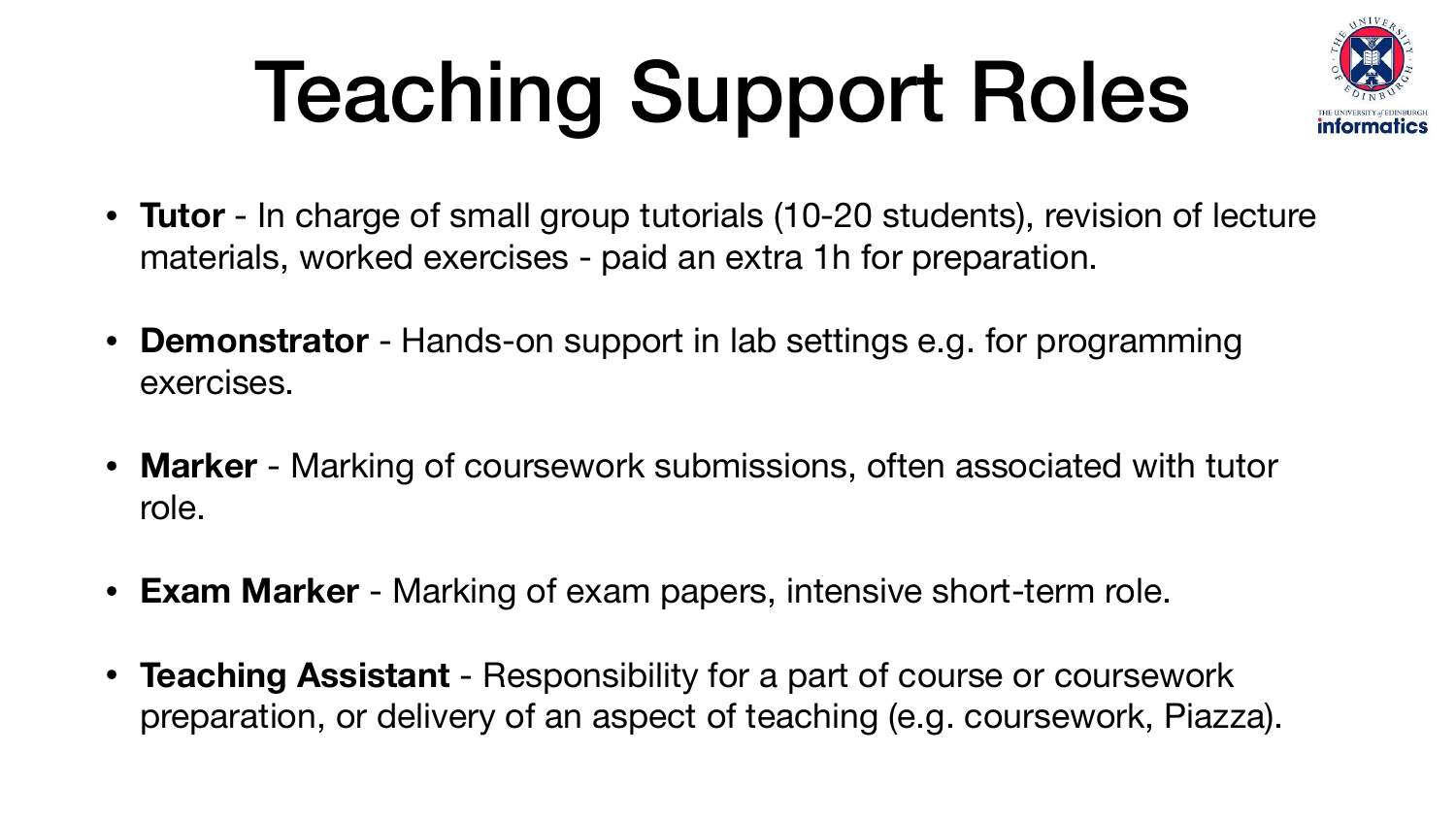## Teaching Support Roles

• **Tutor** - In charge of small group tutorials (10-20 students), revision of lecture

- materials, worked exercises paid an extra 1h for preparation.
- **Demonstrator** Hands-on support in lab settings e.g. for programming exercises.
- **Marker** Marking of coursework submissions, often associated with tutor role.
- **Exam Marker** Marking of exam papers, intensive short-term role.
- **Teaching Assistant** Responsibility for a part of course or coursework preparation, or delivery of an aspect of teaching (e.g. coursework, Piazza).

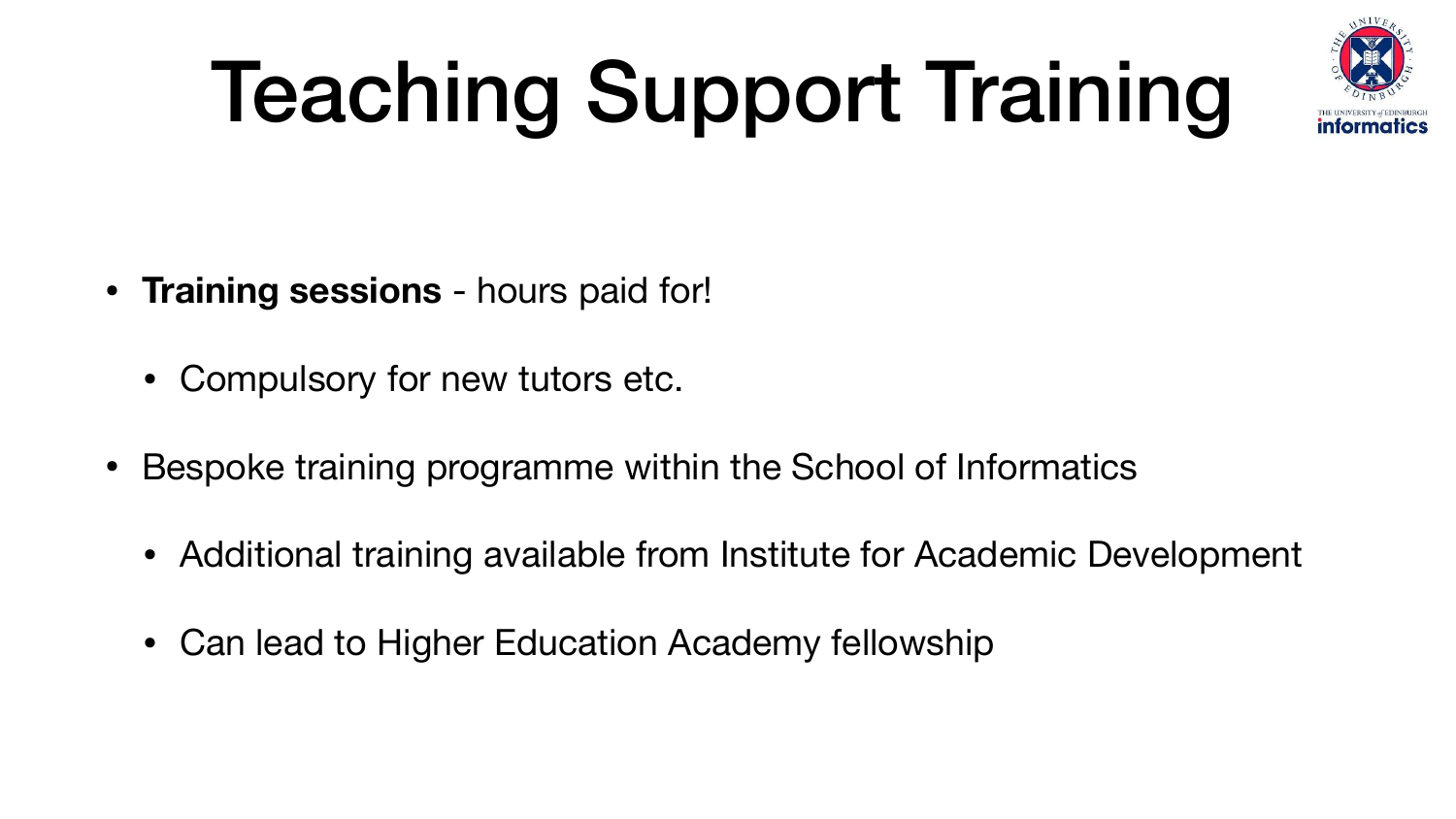# Teaching Support Training

- **Training sessions**  hours paid for!
	- Compulsory for new tutors etc.
- Bespoke training programme within the School of Informatics
	- Additional training available from Institute for Academic Development
	- Can lead to Higher Education Academy fellowship

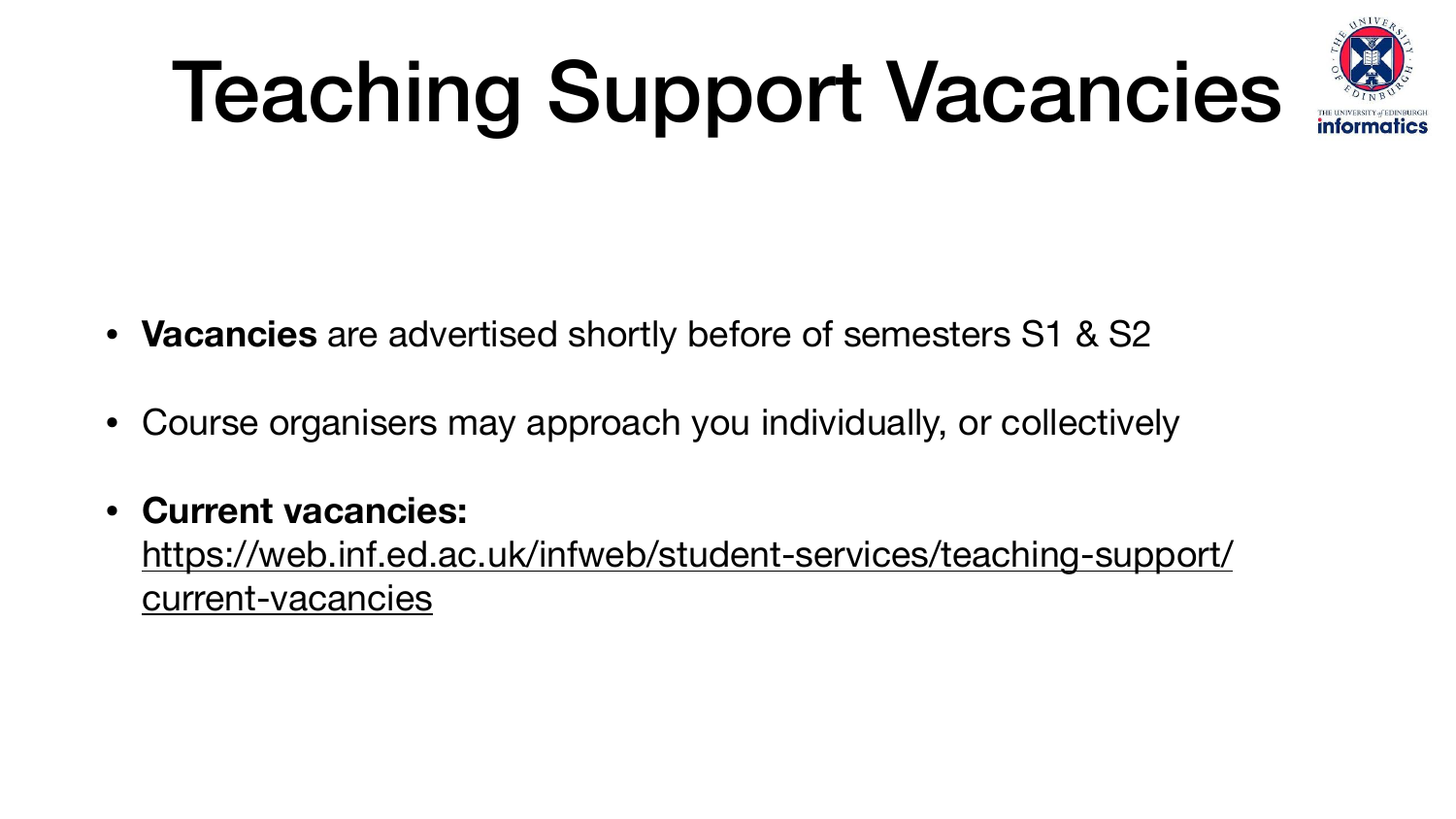## Teaching Support Vacancies

- **Vacancies** are advertised shortly before of semesters S1 & S2
- Course organisers may approach you individually, or collectively
- **Current vacancies:** [https://web.inf.ed.ac.uk/infweb/student-services/teaching-support/](https://web.inf.ed.ac.uk/infweb/student-services/teaching-support/current-vacancies) [current-vacancies](https://web.inf.ed.ac.uk/infweb/student-services/teaching-support/current-vacancies)